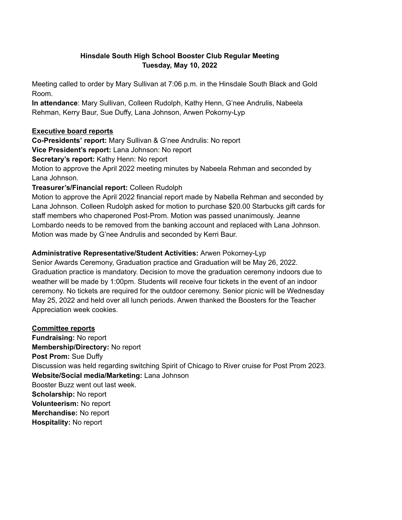#### **Hinsdale South High School Booster Club Regular Meeting Tuesday, May 10, 2022**

Meeting called to order by Mary Sullivan at 7:06 p.m. in the Hinsdale South Black and Gold Room.

**In attendance**: Mary Sullivan, Colleen Rudolph, Kathy Henn, G'nee Andrulis, Nabeela Rehman, Kerry Baur, Sue Duffy, Lana Johnson, Arwen Pokorny-Lyp

### **Executive board reports**

**Co-Presidents' report:** Mary Sullivan & G'nee Andrulis: No report

**Vice President's report:** Lana Johnson: No report

**Secretary's report:** Kathy Henn: No report

Motion to approve the April 2022 meeting minutes by Nabeela Rehman and seconded by Lana Johnson.

# **Treasurer's/Financial report:** Colleen Rudolph

Motion to approve the April 2022 financial report made by Nabella Rehman and seconded by Lana Johnson. Colleen Rudolph asked for motion to purchase \$20.00 Starbucks gift cards for staff members who chaperoned Post-Prom. Motion was passed unanimously. Jeanne Lombardo needs to be removed from the banking account and replaced with Lana Johnson. Motion was made by G'nee Andrulis and seconded by Kerri Baur.

# **Administrative Representative/Student Activities:** Arwen Pokorney-Lyp

Senior Awards Ceremony, Graduation practice and Graduation will be May 26, 2022. Graduation practice is mandatory. Decision to move the graduation ceremony indoors due to weather will be made by 1:00pm. Students will receive four tickets in the event of an indoor ceremony. No tickets are required for the outdoor ceremony. Senior picnic will be Wednesday May 25, 2022 and held over all lunch periods. Arwen thanked the Boosters for the Teacher Appreciation week cookies.

#### **Committee reports Fundraising:** No report **Membership/Directory:** No report **Post Prom:** Sue Duffy Discussion was held regarding switching Spirit of Chicago to River cruise for Post Prom 2023. **Website/Social media/Marketing:** Lana Johnson Booster Buzz went out last week. **Scholarship:** No report **Volunteerism:** No report **Merchandise:** No report **Hospitality:** No report